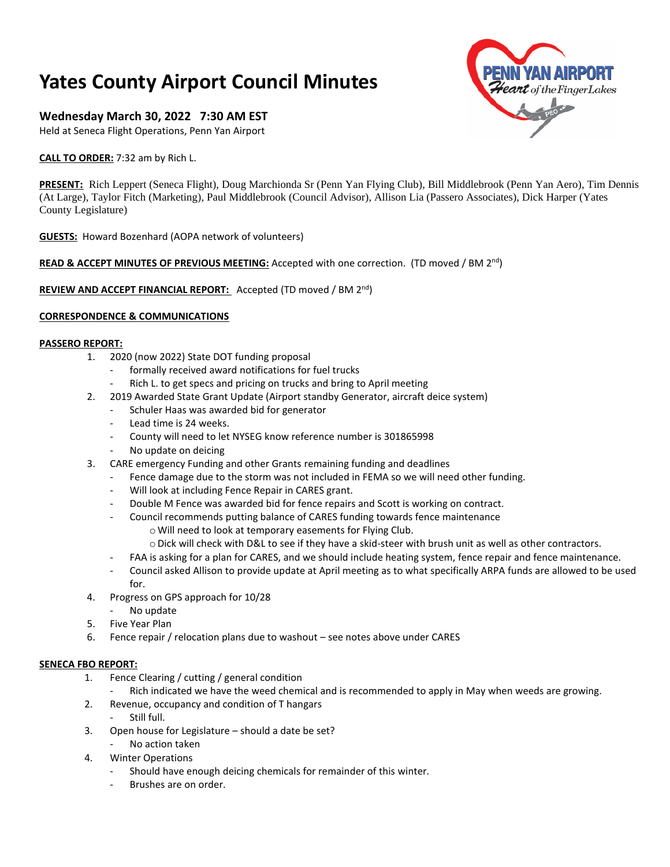# **Yates County Airport Council Minutes**

# **Wednesday March 30, 2022 7:30 AM EST**

Held at Seneca Flight Operations, Penn Yan Airport

**CALL TO ORDER:** 7:32 am by Rich L.

**PRESENT:** Rich Leppert (Seneca Flight), Doug Marchionda Sr (Penn Yan Flying Club), Bill Middlebrook (Penn Yan Aero), Tim Dennis (At Large), Taylor Fitch (Marketing), Paul Middlebrook (Council Advisor), Allison Lia (Passero Associates), Dick Harper (Yates County Legislature)

**GUESTS:** Howard Bozenhard (AOPA network of volunteers)

## READ & ACCEPT MINUTES OF PREVIOUS MEETING: Accepted with one correction. (TD moved / BM 2<sup>nd</sup>)

**REVIEW AND ACCEPT FINANCIAL REPORT:** Accepted (TD moved / BM 2nd)

### **CORRESPONDENCE & COMMUNICATIONS**

#### **PASSERO REPORT:**

- 1. 2020 (now 2022) State DOT funding proposal
	- formally received award notifications for fuel trucks
	- Rich L. to get specs and pricing on trucks and bring to April meeting
- 2. 2019 Awarded State Grant Update (Airport standby Generator, aircraft deice system)
	- Schuler Haas was awarded bid for generator
	- Lead time is 24 weeks.
	- County will need to let NYSEG know reference number is 301865998
	- No update on deicing
- 3. CARE emergency Funding and other Grants remaining funding and deadlines
	- Fence damage due to the storm was not included in FEMA so we will need other funding.
	- Will look at including Fence Repair in CARES grant.
	- Double M Fence was awarded bid for fence repairs and Scott is working on contract.
	- Council recommends putting balance of CARES funding towards fence maintenance
		- oWill need to look at temporary easements for Flying Club.
		- o Dick will check with D&L to see if they have a skid-steer with brush unit as well as other contractors.
	- FAA is asking for a plan for CARES, and we should include heating system, fence repair and fence maintenance.
	- Council asked Allison to provide update at April meeting as to what specifically ARPA funds are allowed to be used for.
- 4. Progress on GPS approach for 10/28
	- No update
- 5. Five Year Plan
- 6. Fence repair / relocation plans due to washout see notes above under CARES

#### **SENECA FBO REPORT:**

- 1. Fence Clearing / cutting / general condition
	- Rich indicated we have the weed chemical and is recommended to apply in May when weeds are growing.
- 2. Revenue, occupancy and condition of T hangars
- Still full.
- 3. Open house for Legislature should a date be set?
	- No action taken
- 4. Winter Operations
	- Should have enough deicing chemicals for remainder of this winter.
		- Brushes are on order.